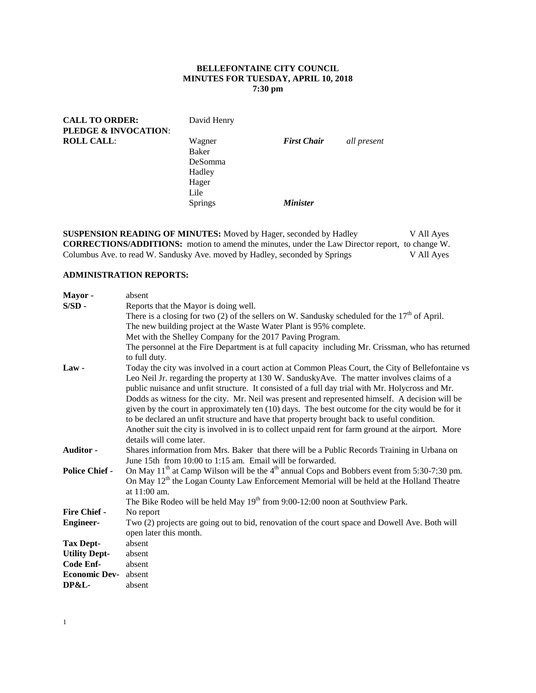## **BELLEFONTAINE CITY COUNCIL MINUTES FOR TUESDAY, APRIL 10, 2018 7:30 pm**

| <b>CALL TO ORDER:</b><br>PLEDGE & INVOCATION: | David Henry                                           |                                              |             |
|-----------------------------------------------|-------------------------------------------------------|----------------------------------------------|-------------|
| <b>ROLL CALL:</b>                             | Wagner<br>Baker<br>DeSomma<br>Hadley<br>Hager<br>Lile | <b>First Chair</b><br><i><b>Minister</b></i> | all present |
|                                               | <b>Springs</b>                                        |                                              |             |

**SUSPENSION READING OF MINUTES:** Moved by Hager, seconded by Hadley V All Ayes **CORRECTIONS/ADDITIONS:** motion to amend the minutes, under the Law Director report, to change W.<br>Columbus Ave. to read W. Sandusky Ave. moved by Hadley, seconded by Springs V All Ayes Columbus Ave. to read W. Sandusky Ave. moved by Hadley, seconded by Springs

# **ADMINISTRATION REPORTS:**

| Mayor-                | absent                                                                                                |
|-----------------------|-------------------------------------------------------------------------------------------------------|
| $S/SD -$              | Reports that the Mayor is doing well.                                                                 |
|                       | There is a closing for two (2) of the sellers on W. Sandusky scheduled for the $17th$ of April.       |
|                       | The new building project at the Waste Water Plant is 95% complete.                                    |
|                       | Met with the Shelley Company for the 2017 Paving Program.                                             |
|                       | The personnel at the Fire Department is at full capacity including Mr. Crissman, who has returned     |
|                       | to full duty.                                                                                         |
| $Law -$               | Today the city was involved in a court action at Common Pleas Court, the City of Bellefontaine vs     |
|                       | Leo Neil Jr. regarding the property at 130 W. Sandusky Ave. The matter involves claims of a           |
|                       | public nuisance and unfit structure. It consisted of a full day trial with Mr. Holycross and Mr.      |
|                       | Dodds as witness for the city. Mr. Neil was present and represented himself. A decision will be       |
|                       | given by the court in approximately ten (10) days. The best outcome for the city would be for it      |
|                       | to be declared an unfit structure and have that property brought back to useful condition.            |
|                       | Another suit the city is involved in is to collect unpaid rent for farm ground at the airport. More   |
|                       | details will come later.                                                                              |
| Auditor -             | Shares information from Mrs. Baker that there will be a Public Records Training in Urbana on          |
|                       | June 15th from 10:00 to 1:15 am. Email will be forwarded.                                             |
| <b>Police Chief -</b> | On May $11th$ at Camp Wilson will be the $4th$ annual Cops and Bobbers event from 5:30-7:30 pm.       |
|                       | On May 12 <sup>th</sup> the Logan County Law Enforcement Memorial will be held at the Holland Theatre |
|                       | at $11:00$ am.                                                                                        |
|                       | The Bike Rodeo will be held May $19th$ from 9:00-12:00 noon at Southview Park.                        |
| <b>Fire Chief -</b>   | No report                                                                                             |
| <b>Engineer-</b>      | Two (2) projects are going out to bid, renovation of the court space and Dowell Ave. Both will        |
|                       | open later this month.                                                                                |
| <b>Tax Dept-</b>      | absent                                                                                                |
| <b>Utility Dept-</b>  | absent                                                                                                |
| Code Enf-             | absent                                                                                                |
| <b>Economic Dev-</b>  | absent                                                                                                |
| <b>DP&amp;L-</b>      | absent                                                                                                |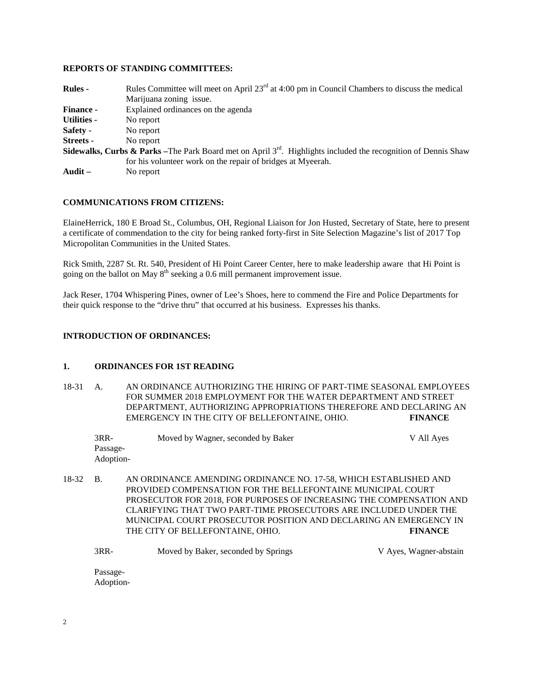#### **REPORTS OF STANDING COMMITTEES:**

| <b>Rules</b> -     | Rules Committee will meet on April $23rd$ at 4:00 pm in Council Chambers to discuss the medical                                 |
|--------------------|---------------------------------------------------------------------------------------------------------------------------------|
|                    | Marijuana zoning issue.                                                                                                         |
| <b>Finance -</b>   | Explained ordinances on the agenda                                                                                              |
| <b>Utilities -</b> | No report                                                                                                                       |
| Safety -           | No report                                                                                                                       |
| Streets -          | No report                                                                                                                       |
|                    | <b>Sidewalks, Curbs &amp; Parks</b> – The Park Board met on April $3^{rd}$ . Highlights included the recognition of Dennis Shaw |
|                    | for his volunteer work on the repair of bridges at Myeerah.                                                                     |
| Audit $-$          | No report                                                                                                                       |

#### **COMMUNICATIONS FROM CITIZENS:**

ElaineHerrick, 180 E Broad St., Columbus, OH, Regional Liaison for Jon Husted, Secretary of State, here to present a certificate of commendation to the city for being ranked forty-first in Site Selection Magazine's list of 2017 Top Micropolitan Communities in the United States.

Rick Smith, 2287 St. Rt. 540, President of Hi Point Career Center, here to make leadership aware that Hi Point is going on the ballot on May  $8<sup>th</sup>$  seeking a 0.6 mill permanent improvement issue.

Jack Reser, 1704 Whispering Pines, owner of Lee's Shoes, here to commend the Fire and Police Departments for their quick response to the "drive thru" that occurred at his business. Expresses his thanks.

#### **INTRODUCTION OF ORDINANCES:**

## **1. ORDINANCES FOR 1ST READING**

18-31 A. AN ORDINANCE AUTHORIZING THE HIRING OF PART-TIME SEASONAL EMPLOYEES FOR SUMMER 2018 EMPLOYMENT FOR THE WATER DEPARTMENT AND STREET DEPARTMENT, AUTHORIZING APPROPRIATIONS THEREFORE AND DECLARING AN EMERGENCY IN THE CITY OF BELLEFONTAINE, OHIO. **FINANCE**

| 3RR-      | Moved by Wagner, seconded by Baker | V All Ayes |
|-----------|------------------------------------|------------|
| Passage-  |                                    |            |
| Adoption- |                                    |            |

18-32 B. AN ORDINANCE AMENDING ORDINANCE NO. 17-58, WHICH ESTABLISHED AND PROVIDED COMPENSATION FOR THE BELLEFONTAINE MUNICIPAL COURT PROSECUTOR FOR 2018, FOR PURPOSES OF INCREASING THE COMPENSATION AND CLARIFYING THAT TWO PART-TIME PROSECUTORS ARE INCLUDED UNDER THE MUNICIPAL COURT PROSECUTOR POSITION AND DECLARING AN EMERGENCY IN THE CITY OF BELLEFONTAINE, OHIO. **FINANCE**

| 3RR- | Moved by Baker, seconded by Springs | V Ayes, Wagner-abstain |
|------|-------------------------------------|------------------------|
|------|-------------------------------------|------------------------|

Passage-Adoption-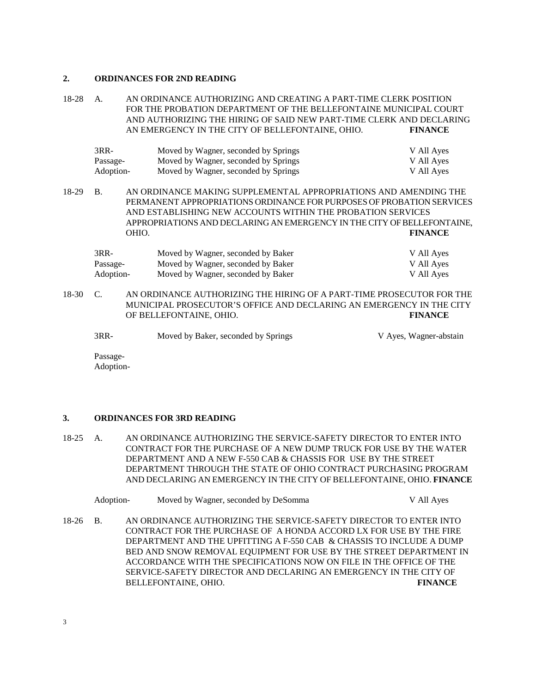#### **2. ORDINANCES FOR 2ND READING**

18-28 A. AN ORDINANCE AUTHORIZING AND CREATING A PART-TIME CLERK POSITION FOR THE PROBATION DEPARTMENT OF THE BELLEFONTAINE MUNICIPAL COURT AND AUTHORIZING THE HIRING OF SAID NEW PART-TIME CLERK AND DECLARING AN EMERGENCY IN THE CITY OF BELLEFONTAINE, OHIO. **FINANCE**

| 3RR-      | Moved by Wagner, seconded by Springs | V All Ayes |
|-----------|--------------------------------------|------------|
| Passage-  | Moved by Wagner, seconded by Springs | V All Ayes |
| Adoption- | Moved by Wagner, seconded by Springs | V All Ayes |

18-29 B. AN ORDINANCE MAKING SUPPLEMENTAL APPROPRIATIONS AND AMENDING THE PERMANENT APPROPRIATIONS ORDINANCE FOR PURPOSES OF PROBATION SERVICES AND ESTABLISHING NEW ACCOUNTS WITHIN THE PROBATION SERVICES APPROPRIATIONS AND DECLARING AN EMERGENCY IN THE CITY OF BELLEFONTAINE, OHIO. **FINANCE**

| $3RR-$    | Moved by Wagner, seconded by Baker | V All Ayes |
|-----------|------------------------------------|------------|
| Passage-  | Moved by Wagner, seconded by Baker | V All Ayes |
| Adoption- | Moved by Wagner, seconded by Baker | V All Ayes |

18-30 C. AN ORDINANCE AUTHORIZING THE HIRING OF A PART-TIME PROSECUTOR FOR THE MUNICIPAL PROSECUTOR'S OFFICE AND DECLARING AN EMERGENCY IN THE CITY OF BELLEFONTAINE, OHIO. **FINANCE**

3RR- Moved by Baker, seconded by Springs V Ayes, Wagner-abstain

Passage-Adoption-

## **3. ORDINANCES FOR 3RD READING**

18-25 A. AN ORDINANCE AUTHORIZING THE SERVICE-SAFETY DIRECTOR TO ENTER INTO CONTRACT FOR THE PURCHASE OF A NEW DUMP TRUCK FOR USE BY THE WATER DEPARTMENT AND A NEW F-550 CAB & CHASSIS FOR USE BY THE STREET DEPARTMENT THROUGH THE STATE OF OHIO CONTRACT PURCHASING PROGRAM AND DECLARING AN EMERGENCY IN THE CITY OF BELLEFONTAINE, OHIO. **FINANCE**

| Adoption- | Moved by Wagner, seconded by DeSomma | V All Aves |
|-----------|--------------------------------------|------------|
|-----------|--------------------------------------|------------|

18-26 B. AN ORDINANCE AUTHORIZING THE SERVICE-SAFETY DIRECTOR TO ENTER INTO CONTRACT FOR THE PURCHASE OF A HONDA ACCORD LX FOR USE BY THE FIRE DEPARTMENT AND THE UPFITTING A F-550 CAB & CHASSIS TO INCLUDE A DUMP BED AND SNOW REMOVAL EQUIPMENT FOR USE BY THE STREET DEPARTMENT IN ACCORDANCE WITH THE SPECIFICATIONS NOW ON FILE IN THE OFFICE OF THE SERVICE-SAFETY DIRECTOR AND DECLARING AN EMERGENCY IN THE CITY OF BELLEFONTAINE, OHIO. **FINANCE**

3